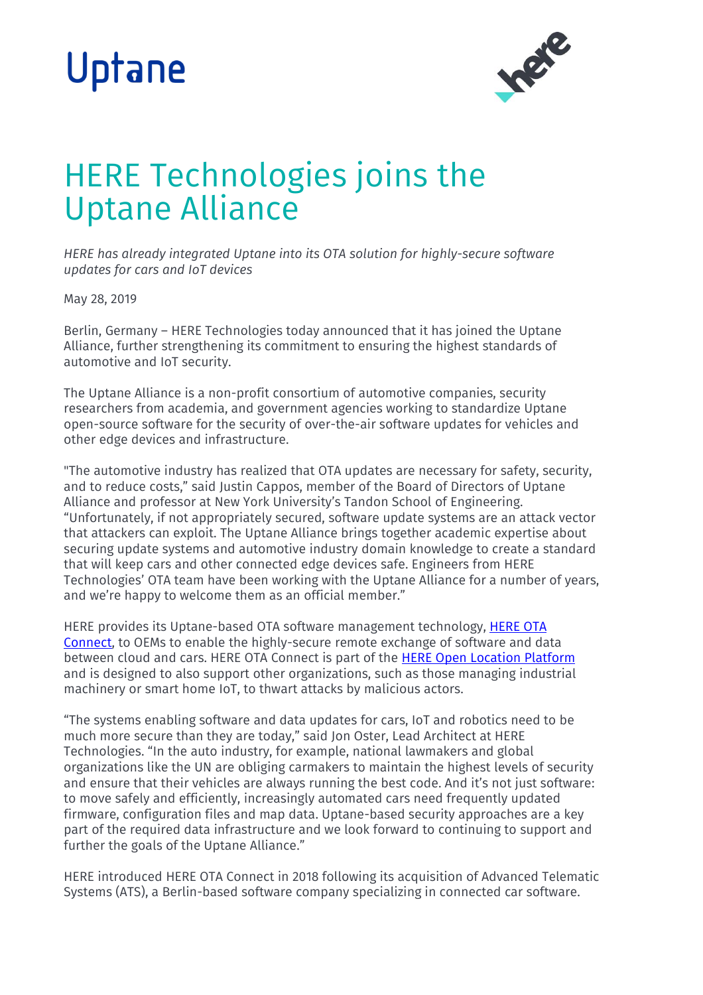



## HERE Technologies joins the Uptane Alliance

*HERE has already integrated Uptane into its OTA solution for highly-secure software updates for cars and IoT devices*

May 28, 2019

Berlin, Germany – HERE Technologies today announced that it has joined the Uptane Alliance, further strengthening its commitment to ensuring the highest standards of automotive and IoT security.

The Uptane Alliance is a non-profit consortium of automotive companies, security researchers from academia, and government agencies working to standardize Uptane open-source software for the security of over-the-air software updates for vehicles and other edge devices and infrastructure.

"The automotive industry has realized that OTA updates are necessary for safety, security, and to reduce costs," said Justin Cappos, member of the Board of Directors of Uptane Alliance and professor at New York University's Tandon School of Engineering. "Unfortunately, if not appropriately secured, software update systems are an attack vector that attackers can exploit. The Uptane Alliance brings together academic expertise about securing update systems and automotive industry domain knowledge to create a standard that will keep cars and other connected edge devices safe. Engineers from HERE Technologies' OTA team have been working with the Uptane Alliance for a number of years, and we're happy to welcome them as an official member."

HERE provides its Uptane-based OTA software management technology, HERE OTA [Connect,](https://www.here.com/products/automotive/ota-technology) to OEMs to enable the highly-secure remote exchange of software and data between cloud and cars. HERE OTA Connect is part of the [HERE Open Location Platform](https://openlocation.here.com/) and is designed to also support other organizations, such as those managing industrial machinery or smart home IoT, to thwart attacks by malicious actors.

"The systems enabling software and data updates for cars, IoT and robotics need to be much more secure than they are today," said Jon Oster, Lead Architect at HERE Technologies. "In the auto industry, for example, national lawmakers and global organizations like the UN are obliging carmakers to maintain the highest levels of security and ensure that their vehicles are always running the best code. And it's not just software: to move safely and efficiently, increasingly automated cars need frequently updated firmware, configuration files and map data. Uptane-based security approaches are a key part of the required data infrastructure and we look forward to continuing to support and further the goals of the Uptane Alliance."

HERE introduced HERE OTA Connect in 2018 following its acquisition of Advanced Telematic Systems (ATS), a Berlin-based software company specializing in connected car software.